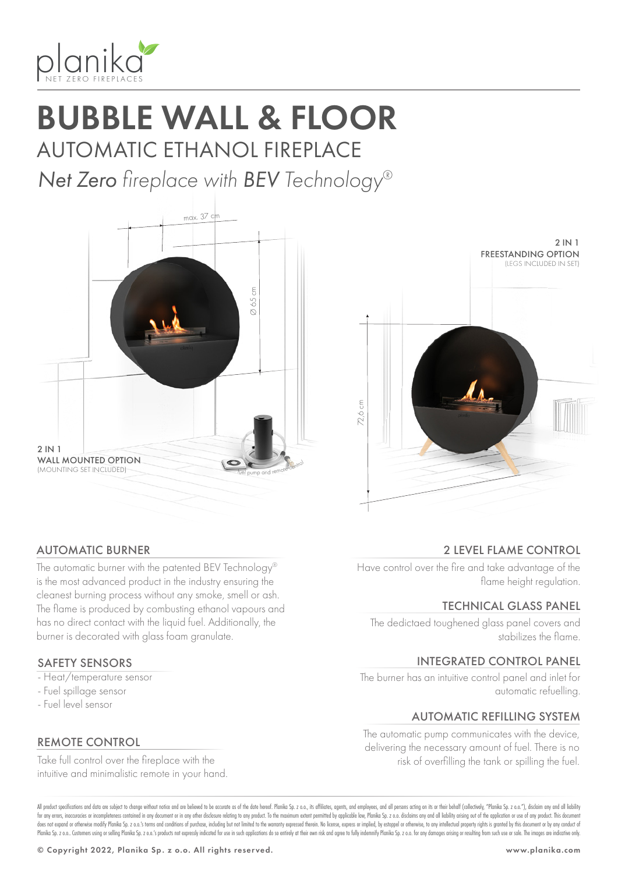

# BUBBLE WALL & FLOOR AUTOMATIC ETHANOL FIREPLACE

*Net Zero fireplace with BEV Technology®*





72,6 cm

2 IN 1

FREESTANDING OPTION (LEGS INCLUDED IN SET)

### AUTOMATIC BURNER

The automatic burner with the patented BEV Technology® is the most advanced product in the industry ensuring the cleanest burning process without any smoke, smell or ash. The flame is produced by combusting ethanol vapours and has no direct contact with the liquid fuel. Additionally, the burner is decorated with glass foam granulate.

### SAFETY SENSORS

- Heat/temperature sensor
- Fuel spillage sensor
- Fuel level sensor

### REMOTE CONTROL

Take full control over the fireplace with the intuitive and minimalistic remote in your hand.

### 2 LEVEL FLAME CONTROL

Have control over the fire and take advantage of the flame height regulation.

### TECHNICAL GLASS PANEL

The dedictaed toughened glass panel covers and stabilizes the flame.

### INTEGRATED CONTROL PANEL

The burner has an intuitive control panel and inlet for automatic refuelling.

### AUTOMATIC REFILLING SYSTEM

The automatic pump communicates with the device, delivering the necessary amount of fuel. There is no risk of overfilling the tank or spilling the fuel.

All product specifications and data are subject to change without notice and are believed to be accurate as of the date hereof. Planika So, z o.o., its affiliates, agents, and employees, and all only are action on its or t for any errors, inaccuracies or incompleteness contained in any document or in any other disclosure relating to any product. To the maximum extent permitted by applicable law, Planika Sp. z o.o. disclaims any and all liabi does not expand or otherwise modify Planika Sp. z o.o.'s terms and conditions of purchase, including but not limited to the warranty expressed therein. No license, express or implied, by estoppel or otherwise, to any intel Planika Sp. z o.o. Customers using or selling Planika Sp. z o.o.'s products not expressly indicated for use in such applications do so entirely at their own risk and agree to fully indemnify Planika Sp. z o.o. for any dama